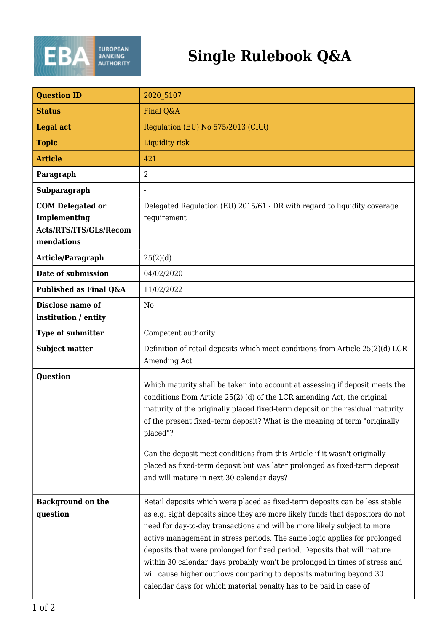

## **Single Rulebook Q&A**

| <b>Question ID</b>                                                              | 2020 5107                                                                                                                                                                                                                                                                                                                                                                                                                                                                                                                                                                                                                     |
|---------------------------------------------------------------------------------|-------------------------------------------------------------------------------------------------------------------------------------------------------------------------------------------------------------------------------------------------------------------------------------------------------------------------------------------------------------------------------------------------------------------------------------------------------------------------------------------------------------------------------------------------------------------------------------------------------------------------------|
| <b>Status</b>                                                                   | Final Q&A                                                                                                                                                                                                                                                                                                                                                                                                                                                                                                                                                                                                                     |
| <b>Legal act</b>                                                                | Regulation (EU) No 575/2013 (CRR)                                                                                                                                                                                                                                                                                                                                                                                                                                                                                                                                                                                             |
| <b>Topic</b>                                                                    | Liquidity risk                                                                                                                                                                                                                                                                                                                                                                                                                                                                                                                                                                                                                |
| <b>Article</b>                                                                  | 421                                                                                                                                                                                                                                                                                                                                                                                                                                                                                                                                                                                                                           |
| Paragraph                                                                       | $\overline{2}$                                                                                                                                                                                                                                                                                                                                                                                                                                                                                                                                                                                                                |
| Subparagraph                                                                    | $\overline{\phantom{a}}$                                                                                                                                                                                                                                                                                                                                                                                                                                                                                                                                                                                                      |
| <b>COM Delegated or</b><br>Implementing<br>Acts/RTS/ITS/GLs/Recom<br>mendations | Delegated Regulation (EU) 2015/61 - DR with regard to liquidity coverage<br>requirement                                                                                                                                                                                                                                                                                                                                                                                                                                                                                                                                       |
| <b>Article/Paragraph</b>                                                        | 25(2)(d)                                                                                                                                                                                                                                                                                                                                                                                                                                                                                                                                                                                                                      |
| Date of submission                                                              | 04/02/2020                                                                                                                                                                                                                                                                                                                                                                                                                                                                                                                                                                                                                    |
| Published as Final Q&A                                                          | 11/02/2022                                                                                                                                                                                                                                                                                                                                                                                                                                                                                                                                                                                                                    |
| Disclose name of<br>institution / entity                                        | N <sub>0</sub>                                                                                                                                                                                                                                                                                                                                                                                                                                                                                                                                                                                                                |
| <b>Type of submitter</b>                                                        | Competent authority                                                                                                                                                                                                                                                                                                                                                                                                                                                                                                                                                                                                           |
| <b>Subject matter</b>                                                           | Definition of retail deposits which meet conditions from Article 25(2)(d) LCR<br>Amending Act                                                                                                                                                                                                                                                                                                                                                                                                                                                                                                                                 |
| <b>Question</b>                                                                 | Which maturity shall be taken into account at assessing if deposit meets the<br>conditions from Article 25(2) (d) of the LCR amending Act, the original<br>maturity of the originally placed fixed-term deposit or the residual maturity<br>of the present fixed-term deposit? What is the meaning of term "originally<br>placed"?<br>Can the deposit meet conditions from this Article if it wasn't originally<br>placed as fixed-term deposit but was later prolonged as fixed-term deposit                                                                                                                                 |
|                                                                                 | and will mature in next 30 calendar days?                                                                                                                                                                                                                                                                                                                                                                                                                                                                                                                                                                                     |
| <b>Background on the</b><br>question                                            | Retail deposits which were placed as fixed-term deposits can be less stable<br>as e.g. sight deposits since they are more likely funds that depositors do not<br>need for day-to-day transactions and will be more likely subject to more<br>active management in stress periods. The same logic applies for prolonged<br>deposits that were prolonged for fixed period. Deposits that will mature<br>within 30 calendar days probably won't be prolonged in times of stress and<br>will cause higher outflows comparing to deposits maturing beyond 30<br>calendar days for which material penalty has to be paid in case of |